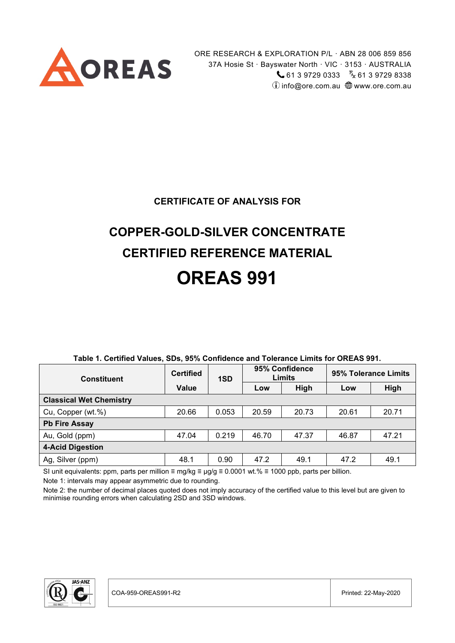

ORE RESEARCH & EXPLORATION P/L · ABN 28 006 859 856 37A Hosie St · Bayswater North · VIC · 3153 · AUSTRALIA  $61397290333 \t{F_X}61397298338$  $\hat{U}$  info@ore.com.au  $\bigoplus$  www.ore.com.au

#### **CERTIFICATE OF ANALYSIS FOR**

# **COPPER-GOLD-SILVER CONCENTRATE CERTIFIED REFERENCE MATERIAL OREAS 991**

| <b>Constituent</b>             | <b>Certified</b> | 1SD   |       | 95% Confidence<br>Limits | 95% Tolerance Limits |       |
|--------------------------------|------------------|-------|-------|--------------------------|----------------------|-------|
|                                | <b>Value</b>     |       | Low   | High                     | Low                  | High  |
| <b>Classical Wet Chemistry</b> |                  |       |       |                          |                      |       |
| Cu, Copper (wt.%)              | 20.66            | 0.053 | 20.59 | 20.73                    | 20.61                | 20.71 |
| <b>Pb Fire Assay</b>           |                  |       |       |                          |                      |       |
| Au, Gold (ppm)                 | 47.04            | 0.219 | 46.70 | 47.37                    | 46.87                | 47.21 |
| <b>4-Acid Digestion</b>        |                  |       |       |                          |                      |       |
| Ag, Silver (ppm)               | 48.1             | 0.90  | 47.2  | 49.1                     | 47.2                 | 49.1  |

#### **Table 1. Certified Values, SDs, 95% Confidence and Tolerance Limits for OREAS 991.**

SI unit equivalents: ppm, parts per million ≡ mg/kg ≡ µg/g ≡ 0.0001 wt.% ≡ 1000 ppb, parts per billion.

Note 1: intervals may appear asymmetric due to rounding.

Note 2: the number of decimal places quoted does not imply accuracy of the certified value to this level but are given to minimise rounding errors when calculating 2SD and 3SD windows.

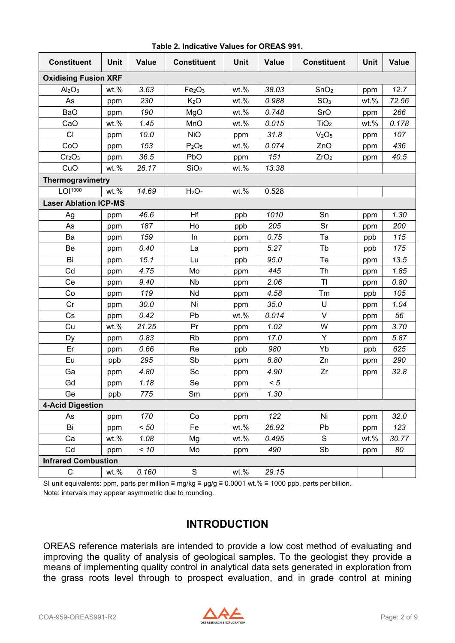| <b>Constituent</b>             | <b>Unit</b> | <b>Value</b> | <b>Constituent</b>             | <b>Unit</b> | <b>Value</b> | <b>Constituent</b>            | <b>Unit</b> | <b>Value</b> |
|--------------------------------|-------------|--------------|--------------------------------|-------------|--------------|-------------------------------|-------------|--------------|
| <b>Oxidising Fusion XRF</b>    |             |              |                                |             |              |                               |             |              |
| Al <sub>2</sub> O <sub>3</sub> | wt.%        | 3.63         | Fe <sub>2</sub> O <sub>3</sub> | wt.%        | 38.03        | SnO <sub>2</sub>              | ppm         | 12.7         |
| As                             | ppm         | 230          | K <sub>2</sub> O               | wt.%        | 0.988        | SO <sub>3</sub>               | $wt.$ %     | 72.56        |
| BaO                            | ppm         | 190          | MgO                            | wt.%        | 0.748        | SrO                           | ppm         | 266          |
| CaO                            | wt.%        | 1.45         | MnO                            | wt.%        | 0.015        | TiO <sub>2</sub>              | wt.%        | 0.178        |
| <b>CI</b>                      | ppm         | 10.0         | <b>NiO</b>                     | ppm         | 31.8         | V <sub>2</sub> O <sub>5</sub> | ppm         | 107          |
| CoO                            | ppm         | 153          | P <sub>2</sub> O <sub>5</sub>  | wt.%        | 0.074        | ZnO                           | ppm         | 436          |
| Cr <sub>2</sub> O <sub>3</sub> | ppm         | 36.5         | PbO                            | ppm         | 151          | ZrO <sub>2</sub>              | ppm         | 40.5         |
| CuO                            | wt.%        | 26.17        | SiO <sub>2</sub>               | wt.%        | 13.38        |                               |             |              |
| Thermogravimetry               |             |              |                                |             |              |                               |             |              |
| LOI <sup>1000</sup>            | wt.%        | 14.69        | $H2O-$                         | wt.%        | 0.528        |                               |             |              |
| <b>Laser Ablation ICP-MS</b>   |             |              |                                |             |              |                               |             |              |
| Ag                             | ppm         | 46.6         | Hf                             | ppb         | 1010         | Sn                            | ppm         | 1.30         |
| As                             | ppm         | 187          | Ho                             | ppb         | 205          | Sr                            | ppm         | 200          |
| Ba                             | ppm         | 159          | In                             | ppm         | 0.75         | Ta                            | ppb         | 115          |
| Be                             | ppm         | 0.40         | La                             | ppm         | 5.27         | Tb                            | ppb         | 175          |
| Bi                             | ppm         | 15.1         | Lu                             | ppb         | 95.0         | Te                            | ppm         | 13.5         |
| Cd                             | ppm         | 4.75         | Mo                             | ppm         | 445          | Th                            | ppm         | 1.85         |
| Ce                             | ppm         | 9.40         | <b>Nb</b>                      | ppm         | 2.06         | T <sub>l</sub>                | ppm         | 0.80         |
| Co                             | ppm         | 119          | Nd                             | ppm         | 4.58         | Tm                            | ppb         | 105          |
| Cr                             | ppm         | 30.0         | Ni                             | ppm         | 35.0         | U                             | ppm         | 1.04         |
| Cs                             | ppm         | 0.42         | Pb                             | wt.%        | 0.014        | $\vee$                        | ppm         | 56           |
| Cu                             | wt.%        | 21.25        | Pr                             | ppm         | 1.02         | W                             | ppm         | 3.70         |
| Dy                             | ppm         | 0.83         | <b>Rb</b>                      | ppm         | 17.0         | Y                             | ppm         | 5.87         |
| Er                             | ppm         | 0.66         | Re                             | ppb         | 980          | Yb                            | ppb         | 625          |
| Eu                             | ppb         | 295          | Sb                             | ppm         | 8.80         | Zn                            | ppm         | 290          |
| Ga                             | ppm         | 4.80         | Sc                             | ppm         | 4.90         | Zr                            | ppm         | 32.8         |
| Gd                             | ppm         | 1.18         | Se                             | ppm         | < 5          |                               |             |              |
| Ge                             | ppb         | 775          | Sm                             | ppm         | 1.30         |                               |             |              |
| <b>4-Acid Digestion</b>        |             |              |                                |             |              |                               |             |              |
| As                             | ppm         | 170          | Co                             | ppm         | 122          | Ni                            | ppm         | 32.0         |
| Bi                             | ppm         | < 50         | Fe                             | $wt.$ %     | 26.92        | Pb                            | ppm         | 123          |
| Ca                             | wt.%        | 1.08         | Mg                             | wt.%        | 0.495        | S                             | wt.%        | 30.77        |
| Cd                             | ppm         | < 10         | Mo                             | ppm         | 490          | Sb                            | ppm         | 80           |
| <b>Infrared Combustion</b>     |             |              |                                |             |              |                               |             |              |
| $\mathsf{C}$                   | $wt.$ %     | 0.160        | $\mathbf S$                    | wt.%        | 29.15        |                               |             |              |

**Table 2. Indicative Values for OREAS 991.**

SI unit equivalents: ppm, parts per million ≡ mg/kg ≡ µg/g ≡ 0.0001 wt.% ≡ 1000 ppb, parts per billion. Note: intervals may appear asymmetric due to rounding.

### **INTRODUCTION**

OREAS reference materials are intended to provide a low cost method of evaluating and improving the quality of analysis of geological samples. To the geologist they provide a means of implementing quality control in analytical data sets generated in exploration from the grass roots level through to prospect evaluation, and in grade control at mining

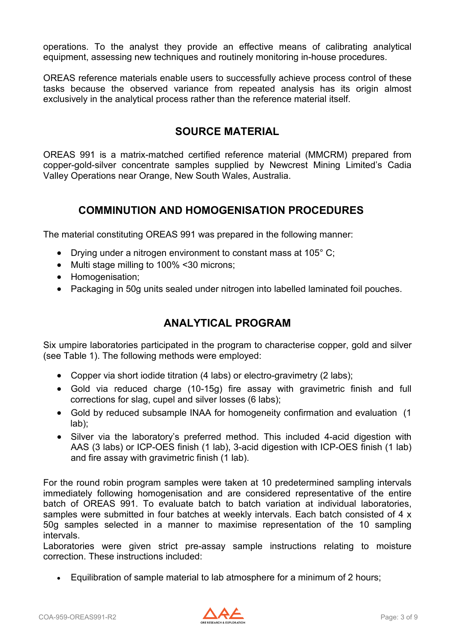operations. To the analyst they provide an effective means of calibrating analytical equipment, assessing new techniques and routinely monitoring in-house procedures.

OREAS reference materials enable users to successfully achieve process control of these tasks because the observed variance from repeated analysis has its origin almost exclusively in the analytical process rather than the reference material itself.

#### **SOURCE MATERIAL**

OREAS 991 is a matrix-matched certified reference material (MMCRM) prepared from copper-gold-silver concentrate samples supplied by Newcrest Mining Limited's Cadia Valley Operations near Orange, New South Wales, Australia.

### **COMMINUTION AND HOMOGENISATION PROCEDURES**

The material constituting OREAS 991 was prepared in the following manner:

- Drying under a nitrogen environment to constant mass at 105°C;
- Multi stage milling to 100% <30 microns;
- Homogenisation;
- Packaging in 50g units sealed under nitrogen into labelled laminated foil pouches.

### **ANALYTICAL PROGRAM**

Six umpire laboratories participated in the program to characterise copper, gold and silver (see Table 1). The following methods were employed:

- Copper via short iodide titration (4 labs) or electro-gravimetry (2 labs);
- Gold via reduced charge (10-15g) fire assay with gravimetric finish and full corrections for slag, cupel and silver losses (6 labs);
- Gold by reduced subsample INAA for homogeneity confirmation and evaluation (1 lab);
- Silver via the laboratory's preferred method. This included 4-acid digestion with AAS (3 labs) or ICP-OES finish (1 lab), 3-acid digestion with ICP-OES finish (1 lab) and fire assay with gravimetric finish (1 lab).

For the round robin program samples were taken at 10 predetermined sampling intervals immediately following homogenisation and are considered representative of the entire batch of OREAS 991. To evaluate batch to batch variation at individual laboratories, samples were submitted in four batches at weekly intervals. Each batch consisted of 4 x 50g samples selected in a manner to maximise representation of the 10 sampling intervals.

Laboratories were given strict pre-assay sample instructions relating to moisture correction. These instructions included:

• Equilibration of sample material to lab atmosphere for a minimum of 2 hours;

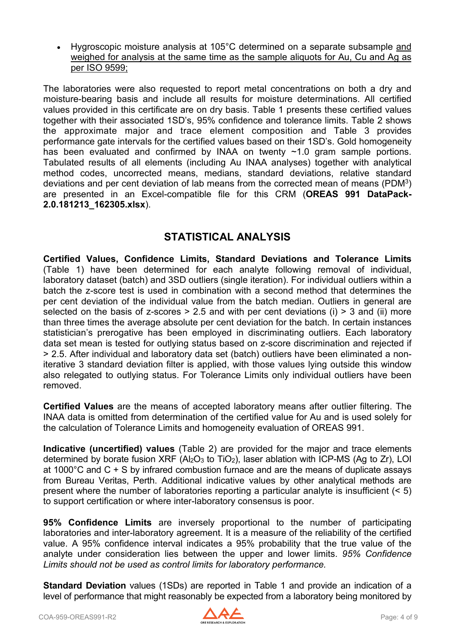• Hygroscopic moisture analysis at 105°C determined on a separate subsample and weighed for analysis at the same time as the sample aliquots for Au, Cu and Ag as per ISO 9599;

The laboratories were also requested to report metal concentrations on both a dry and moisture-bearing basis and include all results for moisture determinations. All certified values provided in this certificate are on dry basis. Table 1 presents these certified values together with their associated 1SD's, 95% confidence and tolerance limits. Table 2 shows the approximate major and trace element composition and Table 3 provides performance gate intervals for the certified values based on their 1SD's. Gold homogeneity has been evaluated and confirmed by INAA on twenty ~1.0 gram sample portions. Tabulated results of all elements (including Au INAA analyses) together with analytical method codes, uncorrected means, medians, standard deviations, relative standard deviations and per cent deviation of lab means from the corrected mean of means (PDM3) are presented in an Excel-compatible file for this CRM (**OREAS 991 DataPack-2.0.181213\_162305.xlsx**).

### **STATISTICAL ANALYSIS**

**Certified Values, Confidence Limits, Standard Deviations and Tolerance Limits** (Table 1) have been determined for each analyte following removal of individual, laboratory dataset (batch) and 3SD outliers (single iteration). For individual outliers within a batch the z-score test is used in combination with a second method that determines the per cent deviation of the individual value from the batch median. Outliers in general are selected on the basis of z-scores  $> 2.5$  and with per cent deviations (i)  $> 3$  and (ii) more than three times the average absolute per cent deviation for the batch. In certain instances statistician's prerogative has been employed in discriminating outliers. Each laboratory data set mean is tested for outlying status based on z-score discrimination and rejected if > 2.5. After individual and laboratory data set (batch) outliers have been eliminated a noniterative 3 standard deviation filter is applied, with those values lying outside this window also relegated to outlying status. For Tolerance Limits only individual outliers have been removed.

**Certified Values** are the means of accepted laboratory means after outlier filtering. The INAA data is omitted from determination of the certified value for Au and is used solely for the calculation of Tolerance Limits and homogeneity evaluation of OREAS 991.

**Indicative (uncertified) values** (Table 2) are provided for the major and trace elements determined by borate fusion XRF ( $Al_2O_3$  to TiO<sub>2</sub>), laser ablation with ICP-MS (Ag to Zr), LOI at 1000°C and C + S by infrared combustion furnace and are the means of duplicate assays from Bureau Veritas, Perth. Additional indicative values by other analytical methods are present where the number of laboratories reporting a particular analyte is insufficient (< 5) to support certification or where inter-laboratory consensus is poor.

**95% Confidence Limits** are inversely proportional to the number of participating laboratories and inter-laboratory agreement. It is a measure of the reliability of the certified value. A 95% confidence interval indicates a 95% probability that the true value of the analyte under consideration lies between the upper and lower limits. *95% Confidence Limits should not be used as control limits for laboratory performance.*

**Standard Deviation** values (1SDs) are reported in Table 1 and provide an indication of a level of performance that might reasonably be expected from a laboratory being monitored by

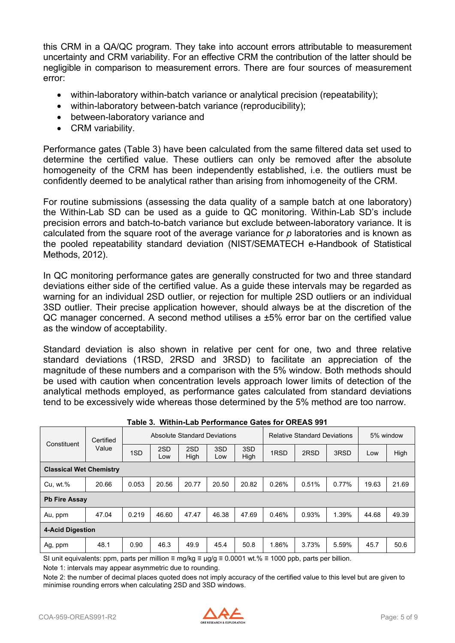this CRM in a QA/QC program. They take into account errors attributable to measurement uncertainty and CRM variability. For an effective CRM the contribution of the latter should be negligible in comparison to measurement errors. There are four sources of measurement error:

- within-laboratory within-batch variance or analytical precision (repeatability);
- within-laboratory between-batch variance (reproducibility);
- between-laboratory variance and
- CRM variability.

Performance gates (Table 3) have been calculated from the same filtered data set used to determine the certified value. These outliers can only be removed after the absolute homogeneity of the CRM has been independently established, i.e. the outliers must be confidently deemed to be analytical rather than arising from inhomogeneity of the CRM.

For routine submissions (assessing the data quality of a sample batch at one laboratory) the Within-Lab SD can be used as a guide to QC monitoring. Within-Lab SD's include precision errors and batch-to-batch variance but exclude between-laboratory variance. It is calculated from the square root of the average variance for *p* laboratories and is known as the pooled repeatability standard deviation (NIST/SEMATECH e-Handbook of Statistical Methods, 2012).

In QC monitoring performance gates are generally constructed for two and three standard deviations either side of the certified value. As a guide these intervals may be regarded as warning for an individual 2SD outlier, or rejection for multiple 2SD outliers or an individual 3SD outlier. Their precise application however, should always be at the discretion of the QC manager concerned. A second method utilises a ±5% error bar on the certified value as the window of acceptability.

Standard deviation is also shown in relative per cent for one, two and three relative standard deviations (1RSD, 2RSD and 3RSD) to facilitate an appreciation of the magnitude of these numbers and a comparison with the 5% window. Both methods should be used with caution when concentration levels approach lower limits of detection of the analytical methods employed, as performance gates calculated from standard deviations tend to be excessively wide whereas those determined by the 5% method are too narrow.

| Constituent                    | Certified |       | Absolute Standard Deviations |             |            |             | <b>Relative Standard Deviations</b> |       |       | 5% window |       |
|--------------------------------|-----------|-------|------------------------------|-------------|------------|-------------|-------------------------------------|-------|-------|-----------|-------|
|                                | Value     | 1SD   | 2SD<br>Low                   | 2SD<br>High | 3SD<br>Low | 3SD<br>High | 1RSD                                | 2RSD  | 3RSD  | Low       | High  |
| <b>Classical Wet Chemistry</b> |           |       |                              |             |            |             |                                     |       |       |           |       |
| Cu, wt.%                       | 20.66     | 0.053 | 20.56                        | 20.77       | 20.50      | 20.82       | 0.26%                               | 0.51% | 0.77% | 19.63     | 21.69 |
| <b>Pb Fire Assay</b>           |           |       |                              |             |            |             |                                     |       |       |           |       |
| Au, ppm                        | 47.04     | 0.219 | 46.60                        | 47.47       | 46.38      | 47.69       | 0.46%                               | 0.93% | 1.39% | 44.68     | 49.39 |
| 4-Acid Digestion               |           |       |                              |             |            |             |                                     |       |       |           |       |
| Ag, ppm                        | 48.1      | 0.90  | 46.3                         | 49.9        | 45.4       | 50.8        | 1.86%                               | 3.73% | 5.59% | 45.7      | 50.6  |

**Table 3. Within-Lab Performance Gates for OREAS 991**

SI unit equivalents: ppm, parts per million ≡ mg/kg ≡ µg/g ≡ 0.0001 wt.% ≡ 1000 ppb, parts per billion.

Note 1: intervals may appear asymmetric due to rounding.

Note 2: the number of decimal places quoted does not imply accuracy of the certified value to this level but are given to minimise rounding errors when calculating 2SD and 3SD windows.

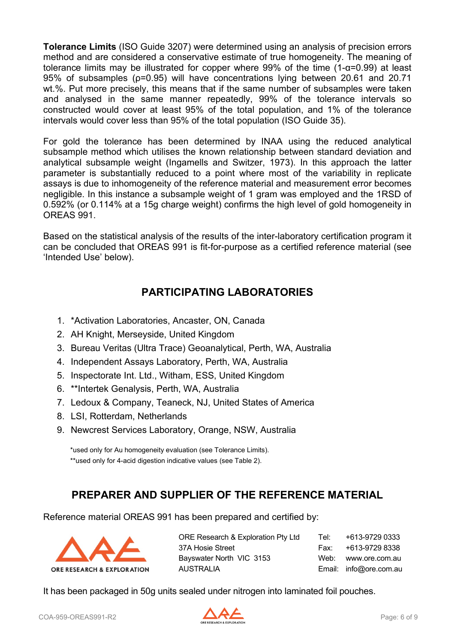**Tolerance Limits** (ISO Guide 3207) were determined using an analysis of precision errors method and are considered a conservative estimate of true homogeneity. The meaning of tolerance limits may be illustrated for copper where 99% of the time  $(1-\alpha=0.99)$  at least 95% of subsamples (ρ=0.95) will have concentrations lying between 20.61 and 20.71 wt.%. Put more precisely, this means that if the same number of subsamples were taken and analysed in the same manner repeatedly, 99% of the tolerance intervals so constructed would cover at least 95% of the total population, and 1% of the tolerance intervals would cover less than 95% of the total population (ISO Guide 35).

For gold the tolerance has been determined by INAA using the reduced analytical subsample method which utilises the known relationship between standard deviation and analytical subsample weight (Ingamells and Switzer, 1973). In this approach the latter parameter is substantially reduced to a point where most of the variability in replicate assays is due to inhomogeneity of the reference material and measurement error becomes negligible. In this instance a subsample weight of 1 gram was employed and the 1RSD of 0.592% (or 0.114% at a 15g charge weight) confirms the high level of gold homogeneity in OREAS 991.

Based on the statistical analysis of the results of the inter-laboratory certification program it can be concluded that OREAS 991 is fit-for-purpose as a certified reference material (see 'Intended Use' below).

## **PARTICIPATING LABORATORIES**

- 1. \*Activation Laboratories, Ancaster, ON, Canada
- 2. AH Knight, Merseyside, United Kingdom
- 3. Bureau Veritas (Ultra Trace) Geoanalytical, Perth, WA, Australia
- 4. Independent Assays Laboratory, Perth, WA, Australia
- 5. Inspectorate Int. Ltd., Witham, ESS, United Kingdom
- 6. \*\*Intertek Genalysis, Perth, WA, Australia
- 7. Ledoux & Company, Teaneck, NJ, United States of America
- 8. LSI, Rotterdam, Netherlands
- 9. Newcrest Services Laboratory, Orange, NSW, Australia

\*used only for Au homogeneity evaluation (see Tolerance Limits). \*\*used only for 4-acid digestion indicative values (see Table 2).

### **PREPARER AND SUPPLIER OF THE REFERENCE MATERIAL**

Reference material OREAS 991 has been prepared and certified by:



| Tel: | +613-9729 0333         |
|------|------------------------|
| Fax: | +613-9729 8338         |
|      | Web: www.ore.com.au    |
|      | Email: info@ore.com.au |
|      |                        |

It has been packaged in 50g units sealed under nitrogen into laminated foil pouches.

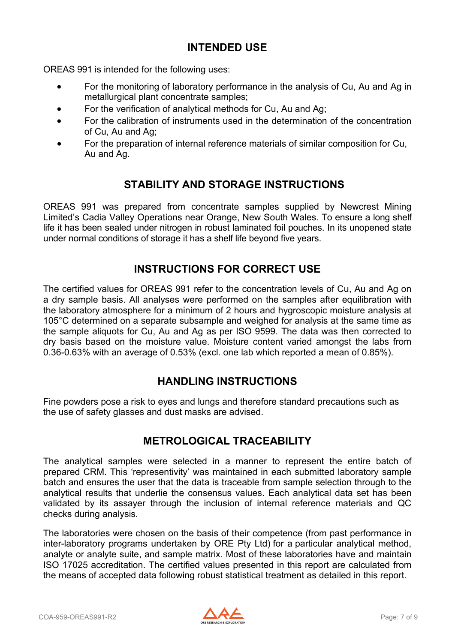### **INTENDED USE**

OREAS 991 is intended for the following uses:

- For the monitoring of laboratory performance in the analysis of Cu, Au and Ag in metallurgical plant concentrate samples;
- For the verification of analytical methods for Cu, Au and Ag;
- For the calibration of instruments used in the determination of the concentration of Cu, Au and Ag;
- For the preparation of internal reference materials of similar composition for Cu, Au and Ag.

### **STABILITY AND STORAGE INSTRUCTIONS**

OREAS 991 was prepared from concentrate samples supplied by Newcrest Mining Limited's Cadia Valley Operations near Orange, New South Wales. To ensure a long shelf life it has been sealed under nitrogen in robust laminated foil pouches. In its unopened state under normal conditions of storage it has a shelf life beyond five years.

#### **INSTRUCTIONS FOR CORRECT USE**

The certified values for OREAS 991 refer to the concentration levels of Cu, Au and Ag on a dry sample basis. All analyses were performed on the samples after equilibration with the laboratory atmosphere for a minimum of 2 hours and hygroscopic moisture analysis at 105°C determined on a separate subsample and weighed for analysis at the same time as the sample aliquots for Cu, Au and Ag as per ISO 9599. The data was then corrected to dry basis based on the moisture value. Moisture content varied amongst the labs from 0.36-0.63% with an average of 0.53% (excl. one lab which reported a mean of 0.85%).

#### **HANDLING INSTRUCTIONS**

Fine powders pose a risk to eyes and lungs and therefore standard precautions such as the use of safety glasses and dust masks are advised.

#### **METROLOGICAL TRACEABILITY**

The analytical samples were selected in a manner to represent the entire batch of prepared CRM. This 'representivity' was maintained in each submitted laboratory sample batch and ensures the user that the data is traceable from sample selection through to the analytical results that underlie the consensus values. Each analytical data set has been validated by its assayer through the inclusion of internal reference materials and QC checks during analysis.

The laboratories were chosen on the basis of their competence (from past performance in inter-laboratory programs undertaken by ORE Pty Ltd) for a particular analytical method, analyte or analyte suite, and sample matrix. Most of these laboratories have and maintain ISO 17025 accreditation. The certified values presented in this report are calculated from the means of accepted data following robust statistical treatment as detailed in this report.

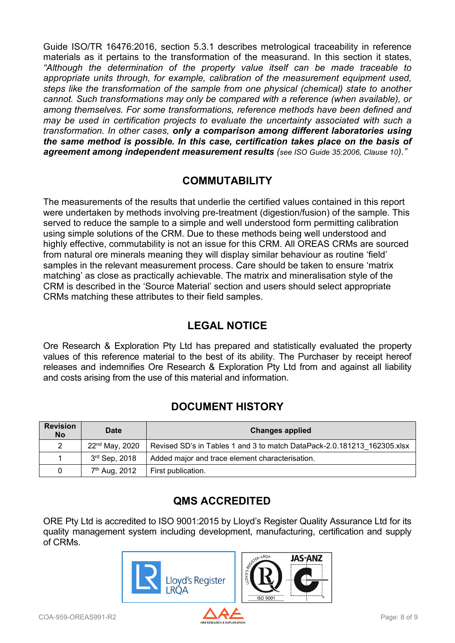Guide ISO/TR 16476:2016, section 5.3.1 describes metrological traceability in reference materials as it pertains to the transformation of the measurand. In this section it states, *"Although the determination of the property value itself can be made traceable to appropriate units through, for example, calibration of the measurement equipment used, steps like the transformation of the sample from one physical (chemical) state to another cannot. Such transformations may only be compared with a reference (when available), or among themselves. For some transformations, reference methods have been defined and may be used in certification projects to evaluate the uncertainty associated with such a transformation. In other cases, only a comparison among different laboratories using the same method is possible. In this case, certification takes place on the basis of agreement among independent measurement results (see ISO Guide 35:2006, Clause 10)."*

#### **COMMUTABILITY**

The measurements of the results that underlie the certified values contained in this report were undertaken by methods involving pre-treatment (digestion/fusion) of the sample. This served to reduce the sample to a simple and well understood form permitting calibration using simple solutions of the CRM. Due to these methods being well understood and highly effective, commutability is not an issue for this CRM. All OREAS CRMs are sourced from natural ore minerals meaning they will display similar behaviour as routine 'field' samples in the relevant measurement process. Care should be taken to ensure 'matrix matching' as close as practically achievable. The matrix and mineralisation style of the CRM is described in the 'Source Material' section and users should select appropriate CRMs matching these attributes to their field samples.

### **LEGAL NOTICE**

Ore Research & Exploration Pty Ltd has prepared and statistically evaluated the property values of this reference material to the best of its ability. The Purchaser by receipt hereof releases and indemnifies Ore Research & Exploration Pty Ltd from and against all liability and costs arising from the use of this material and information.

### **DOCUMENT HISTORY**

| <b>Revision</b><br><b>No</b> | <b>Date</b>                | <b>Changes applied</b>                                                  |
|------------------------------|----------------------------|-------------------------------------------------------------------------|
| 2                            | 22 <sup>nd</sup> May, 2020 | Revised SD's in Tables 1 and 3 to match DataPack-2.0.181213 162305.xlsx |
|                              | 3 <sup>rd</sup> Sep, 2018  | Added major and trace element characterisation.                         |
| 0                            | 7 <sup>th</sup> Aug, 2012  | First publication.                                                      |

# **QMS ACCREDITED**

ORE Pty Ltd is accredited to ISO 9001:2015 by Lloyd's Register Quality Assurance Ltd for its quality management system including development, manufacturing, certification and supply of CRMs.